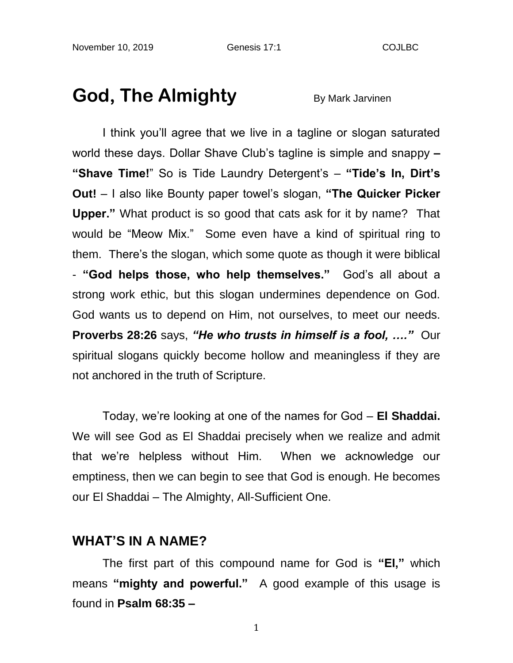# **God, The Almighty** By Mark Jarvinen

I think you'll agree that we live in a tagline or slogan saturated world these days. Dollar Shave Club's tagline is simple and snappy **– "Shave Time!**" So is Tide Laundry Detergent's – **"Tide's In, Dirt's Out!** – I also like Bounty paper towel's slogan, **"The Quicker Picker Upper."** What product is so good that cats ask for it by name? That would be "Meow Mix." Some even have a kind of spiritual ring to them. There's the slogan, which some quote as though it were biblical - **"God helps those, who help themselves."** God's all about a strong work ethic, but this slogan undermines dependence on God. God wants us to depend on Him, not ourselves, to meet our needs. **Proverbs 28:26** says, *"He who trusts in himself is a fool, …."* Our spiritual slogans quickly become hollow and meaningless if they are not anchored in the truth of Scripture.

Today, we're looking at one of the names for God – **El Shaddai.** We will see God as El Shaddai precisely when we realize and admit that we're helpless without Him. When we acknowledge our emptiness, then we can begin to see that God is enough. He becomes our El Shaddai – The Almighty, All-Sufficient One.

#### **WHAT'S IN A NAME?**

The first part of this compound name for God is **"El,"** which means **"mighty and powerful."** A good example of this usage is found in **Psalm 68:35 –**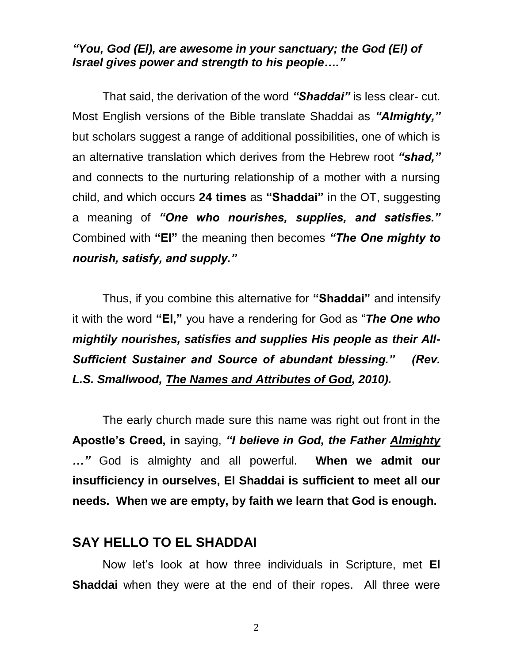#### *"You, God (El), are awesome in your sanctuary; the God (El) of Israel gives power and strength to his people…."*

That said, the derivation of the word *"Shaddai"* is less clear- cut. Most English versions of the Bible translate Shaddai as *"Almighty,"* but scholars suggest a range of additional possibilities, one of which is an alternative translation which derives from the Hebrew root *"shad,"* and connects to the nurturing relationship of a mother with a nursing child, and which occurs **24 times** as **"Shaddai"** in the OT, suggesting a meaning of *"One who nourishes, supplies, and satisfies."* Combined with **"El"** the meaning then becomes *"The One mighty to nourish, satisfy, and supply."* 

Thus, if you combine this alternative for **"Shaddai"** and intensify it with the word **"El,"** you have a rendering for God as "*The One who mightily nourishes, satisfies and supplies His people as their All-Sufficient Sustainer and Source of abundant blessing." (Rev. L.S. Smallwood, The Names and Attributes of God, 2010).*

The early church made sure this name was right out front in the **Apostle's Creed, in** saying, *"I believe in God, the Father Almighty …"* God is almighty and all powerful. **When we admit our insufficiency in ourselves, El Shaddai is sufficient to meet all our needs. When we are empty, by faith we learn that God is enough.**

### **SAY HELLO TO EL SHADDAI**

Now let's look at how three individuals in Scripture, met **El Shaddai** when they were at the end of their ropes. All three were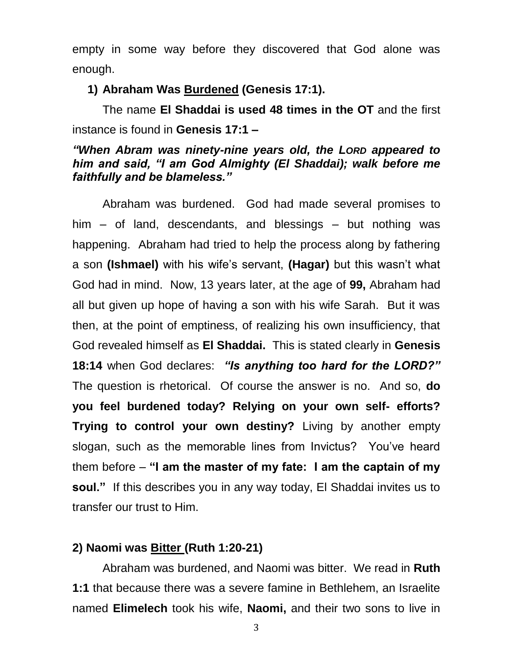empty in some way before they discovered that God alone was enough.

**1) Abraham Was Burdened (Genesis 17:1).**

The name **El Shaddai is used 48 times in the OT** and the first instance is found in **Genesis 17:1 –**

#### *"When Abram was ninety-nine years old, the LORD appeared to him and said, "I am God Almighty (El Shaddai); walk before me faithfully and be blameless."*

Abraham was burdened. God had made several promises to him – of land, descendants, and blessings – but nothing was happening. Abraham had tried to help the process along by fathering a son **(Ishmael)** with his wife's servant, **(Hagar)** but this wasn't what God had in mind. Now, 13 years later, at the age of **99,** Abraham had all but given up hope of having a son with his wife Sarah. But it was then, at the point of emptiness, of realizing his own insufficiency, that God revealed himself as **El Shaddai.** This is stated clearly in **Genesis 18:14** when God declares: *"Is anything too hard for the LORD?"*  The question is rhetorical. Of course the answer is no. And so, **do you feel burdened today? Relying on your own self- efforts? Trying to control your own destiny?** Living by another empty slogan, such as the memorable lines from Invictus? You've heard them before – **"I am the master of my fate: I am the captain of my soul."** If this describes you in any way today, El Shaddai invites us to transfer our trust to Him.

### **2) Naomi was Bitter (Ruth 1:20-21)**

Abraham was burdened, and Naomi was bitter. We read in **Ruth 1:1** that because there was a severe famine in Bethlehem, an Israelite named **Elimelech** took his wife, **Naomi,** and their two sons to live in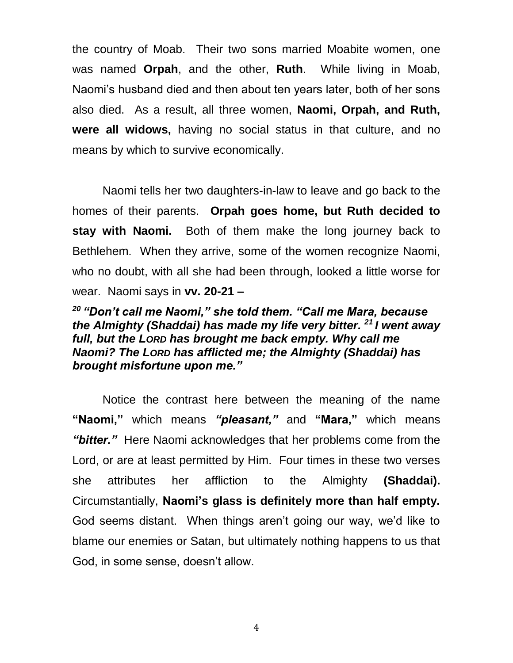the country of Moab. Their two sons married Moabite women, one was named **Orpah**, and the other, **Ruth**. While living in Moab, Naomi's husband died and then about ten years later, both of her sons also died. As a result, all three women, **Naomi, Orpah, and Ruth, were all widows,** having no social status in that culture, and no means by which to survive economically.

Naomi tells her two daughters-in-law to leave and go back to the homes of their parents. **Orpah goes home, but Ruth decided to stay with Naomi.** Both of them make the long journey back to Bethlehem. When they arrive, some of the women recognize Naomi, who no doubt, with all she had been through, looked a little worse for wear. Naomi says in **vv. 20-21 –**

### *<sup>20</sup> "Don't call me Naomi," she told them. "Call me Mara, because the Almighty (Shaddai) has made my life very bitter. <sup>21</sup> I went away full, but the LORD has brought me back empty. Why call me Naomi? The LORD has afflicted me; the Almighty (Shaddai) has brought misfortune upon me."*

Notice the contrast here between the meaning of the name **"Naomi,"** which means *"pleasant,"* and **"Mara,"** which means *"bitter."* Here Naomi acknowledges that her problems come from the Lord, or are at least permitted by Him. Four times in these two verses she attributes her affliction to the Almighty **(Shaddai).**  Circumstantially, **Naomi's glass is definitely more than half empty.** God seems distant. When things aren't going our way, we'd like to blame our enemies or Satan, but ultimately nothing happens to us that God, in some sense, doesn't allow.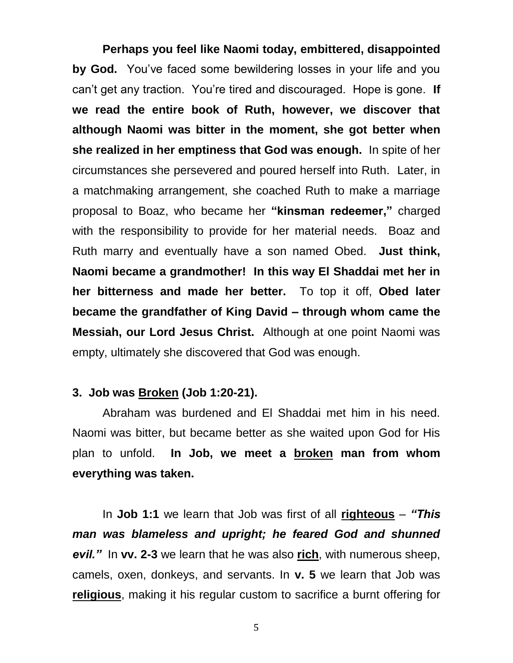**Perhaps you feel like Naomi today, embittered, disappointed by God.** You've faced some bewildering losses in your life and you can't get any traction. You're tired and discouraged. Hope is gone. **If we read the entire book of Ruth, however, we discover that although Naomi was bitter in the moment, she got better when she realized in her emptiness that God was enough.** In spite of her circumstances she persevered and poured herself into Ruth. Later, in a matchmaking arrangement, she coached Ruth to make a marriage proposal to Boaz, who became her **"kinsman redeemer,"** charged with the responsibility to provide for her material needs. Boaz and Ruth marry and eventually have a son named Obed. **Just think, Naomi became a grandmother! In this way El Shaddai met her in her bitterness and made her better.** To top it off, **Obed later became the grandfather of King David – through whom came the Messiah, our Lord Jesus Christ.** Although at one point Naomi was empty, ultimately she discovered that God was enough.

#### **3. Job was Broken (Job 1:20-21).**

Abraham was burdened and El Shaddai met him in his need. Naomi was bitter, but became better as she waited upon God for His plan to unfold. **In Job, we meet a broken man from whom everything was taken.**

In **Job 1:1** we learn that Job was first of all **righteous** – *"This man was blameless and upright; he feared God and shunned evil."* In **vv. 2-3** we learn that he was also **rich**, with numerous sheep, camels, oxen, donkeys, and servants. In **v. 5** we learn that Job was **religious**, making it his regular custom to sacrifice a burnt offering for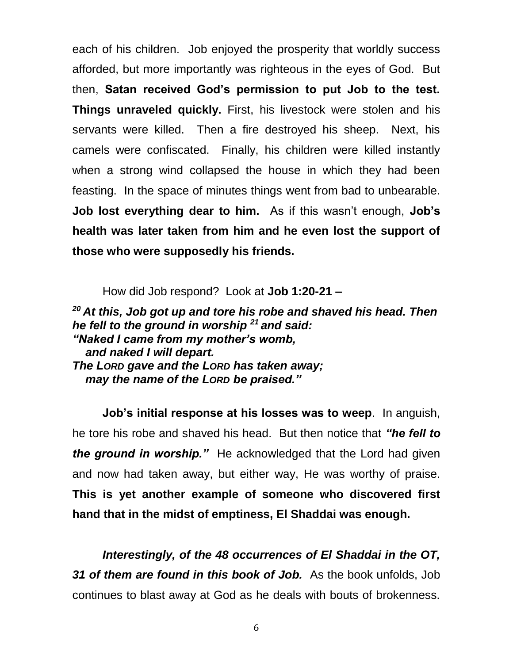each of his children. Job enjoyed the prosperity that worldly success afforded, but more importantly was righteous in the eyes of God. But then, **Satan received God's permission to put Job to the test. Things unraveled quickly.** First, his livestock were stolen and his servants were killed. Then a fire destroyed his sheep. Next, his camels were confiscated. Finally, his children were killed instantly when a strong wind collapsed the house in which they had been feasting. In the space of minutes things went from bad to unbearable. **Job lost everything dear to him.** As if this wasn't enough, **Job's health was later taken from him and he even lost the support of those who were supposedly his friends.**

How did Job respond? Look at **Job 1:20-21 –**

*<sup>20</sup> At this, Job got up and tore his robe and shaved his head. Then he fell to the ground in worship <sup>21</sup> and said: "Naked I came from my mother's womb, and naked I will depart. The LORD gave and the LORD has taken away; may the name of the LORD be praised."*

**Job's initial response at his losses was to weep**. In anguish, he tore his robe and shaved his head. But then notice that *"he fell to the ground in worship."* He acknowledged that the Lord had given and now had taken away, but either way, He was worthy of praise. **This is yet another example of someone who discovered first hand that in the midst of emptiness, El Shaddai was enough.** 

*Interestingly, of the 48 occurrences of El Shaddai in the OT, 31 of them are found in this book of Job.* As the book unfolds, Job continues to blast away at God as he deals with bouts of brokenness.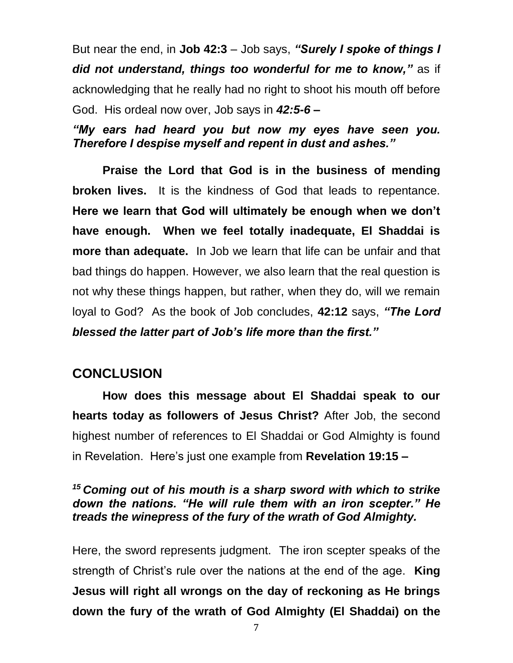But near the end, in **Job 42:3** – Job says, *"Surely I spoke of things I did not understand, things too wonderful for me to know,"* as if acknowledging that he really had no right to shoot his mouth off before God. His ordeal now over, Job says in *42:5-6 –*

*"My ears had heard you but now my eyes have seen you. Therefore I despise myself and repent in dust and ashes."* 

**Praise the Lord that God is in the business of mending broken lives.** It is the kindness of God that leads to repentance. **Here we learn that God will ultimately be enough when we don't have enough. When we feel totally inadequate, El Shaddai is more than adequate.** In Job we learn that life can be unfair and that bad things do happen. However, we also learn that the real question is not why these things happen, but rather, when they do, will we remain loyal to God? As the book of Job concludes, **42:12** says, *"The Lord blessed the latter part of Job's life more than the first."*

## **CONCLUSION**

**How does this message about El Shaddai speak to our hearts today as followers of Jesus Christ?** After Job, the second highest number of references to El Shaddai or God Almighty is found in Revelation. Here's just one example from **Revelation 19:15 –**

### *<sup>15</sup> Coming out of his mouth is a sharp sword with which to strike down the nations. "He will rule them with an iron scepter." He treads the winepress of the fury of the wrath of God Almighty.*

Here, the sword represents judgment. The iron scepter speaks of the strength of Christ's rule over the nations at the end of the age. **King Jesus will right all wrongs on the day of reckoning as He brings down the fury of the wrath of God Almighty (El Shaddai) on the**